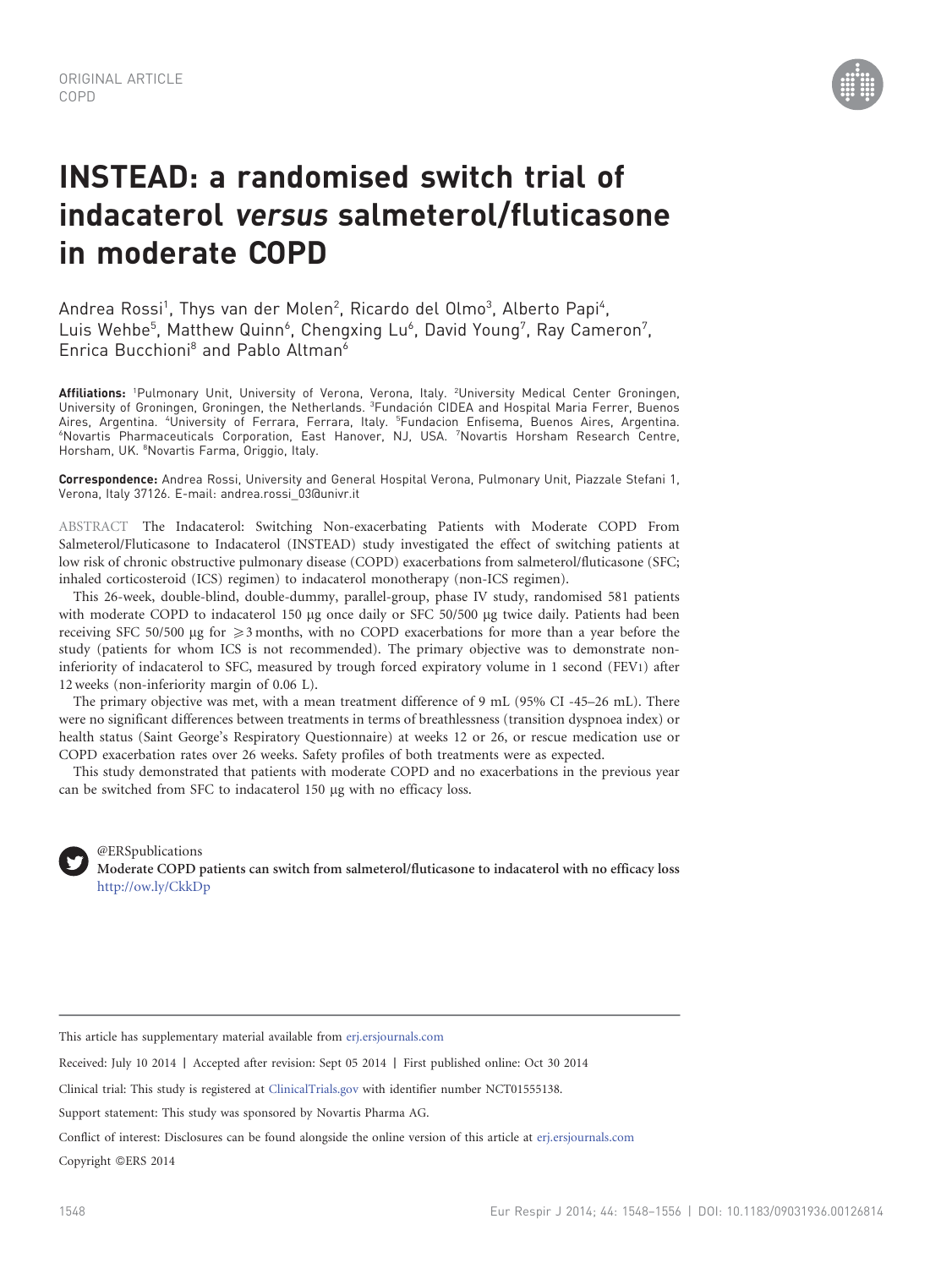

# INSTEAD: a randomised switch trial of indacaterol versus salmeterol/fluticasone in moderate COPD

Andrea Rossi<sup>1</sup>, Thys van der Molen<sup>2</sup>, Ricardo del Olmo<sup>3</sup>, Alberto Papi<sup>4</sup>, Luis Wehbe<sup>5</sup>, Matthew Quinn<sup>6</sup>, Chengxing Lu<sup>6</sup>, David Young<sup>7</sup>, Ray Cameron<sup>7</sup>, Enrica Bucchioni<sup>8</sup> and Pablo Altman<sup>6</sup>

**Affiliations:** 'Pulmonary Unit, University of Verona, Verona, Italy. <sup>2</sup>University Medical Center Groningen, University of Groningen, Groningen, the Netherlands. <sup>3</sup>Fundación CIDEA and Hospital Maria Ferrer, Buenos Aires, Argentina. "University of Ferrara, Ferrara, Italy. <sup>5</sup>Fundacion Enfisema, Buenos Aires, Argentina. 6 Novartis Pharmaceuticals Corporation, East Hanover, NJ, USA. <sup>7</sup> Novartis Horsham Research Centre, Horsham, UK. <sup>8</sup>Novartis Farma, Origgio, Italy.

Correspondence: Andrea Rossi, University and General Hospital Verona, Pulmonary Unit, Piazzale Stefani 1, Verona, Italy 37126. E-mail: andrea.rossi\_03@univr.it

ABSTRACT The Indacaterol: Switching Non-exacerbating Patients with Moderate COPD From Salmeterol/Fluticasone to Indacaterol (INSTEAD) study investigated the effect of switching patients at low risk of chronic obstructive pulmonary disease (COPD) exacerbations from salmeterol/fluticasone (SFC; inhaled corticosteroid (ICS) regimen) to indacaterol monotherapy (non-ICS regimen).

This 26-week, double-blind, double-dummy, parallel-group, phase IV study, randomised 581 patients with moderate COPD to indacaterol 150 µg once daily or SFC 50/500 µg twice daily. Patients had been receiving SFC 50/500  $\mu$ g for  $\geq$ 3 months, with no COPD exacerbations for more than a year before the study (patients for whom ICS is not recommended). The primary objective was to demonstrate noninferiority of indacaterol to SFC, measured by trough forced expiratory volume in 1 second (FEV1) after 12 weeks (non-inferiority margin of 0.06 L).

The primary objective was met, with a mean treatment difference of 9 mL (95% CI -45–26 mL). There were no significant differences between treatments in terms of breathlessness (transition dyspnoea index) or health status (Saint George's Respiratory Questionnaire) at weeks 12 or 26, or rescue medication use or COPD exacerbation rates over 26 weeks. Safety profiles of both treatments were as expected.

This study demonstrated that patients with moderate COPD and no exacerbations in the previous year can be switched from SFC to indacaterol 150 µg with no efficacy loss.



@ERSpublications Moderate COPD patients can switch from salmeterol/fluticasone to indacaterol with no efficacy loss <http://ow.ly/CkkDp>

This article has supplementary material available from <erj.ersjournals.com>

Received: July 10 2014 | Accepted after revision: Sept 05 2014 | First published online: Oct 30 2014

Clinical trial: This study is registered at [ClinicalTrials.gov](erj.ersjournals.com) with identifier number NCT01555138.

Support statement: This study was sponsored by Novartis Pharma AG.

Conflict of interest: Disclosures can be found alongside the online version of this article at <erj.ersjournals.com>

Copyright ©ERS 2014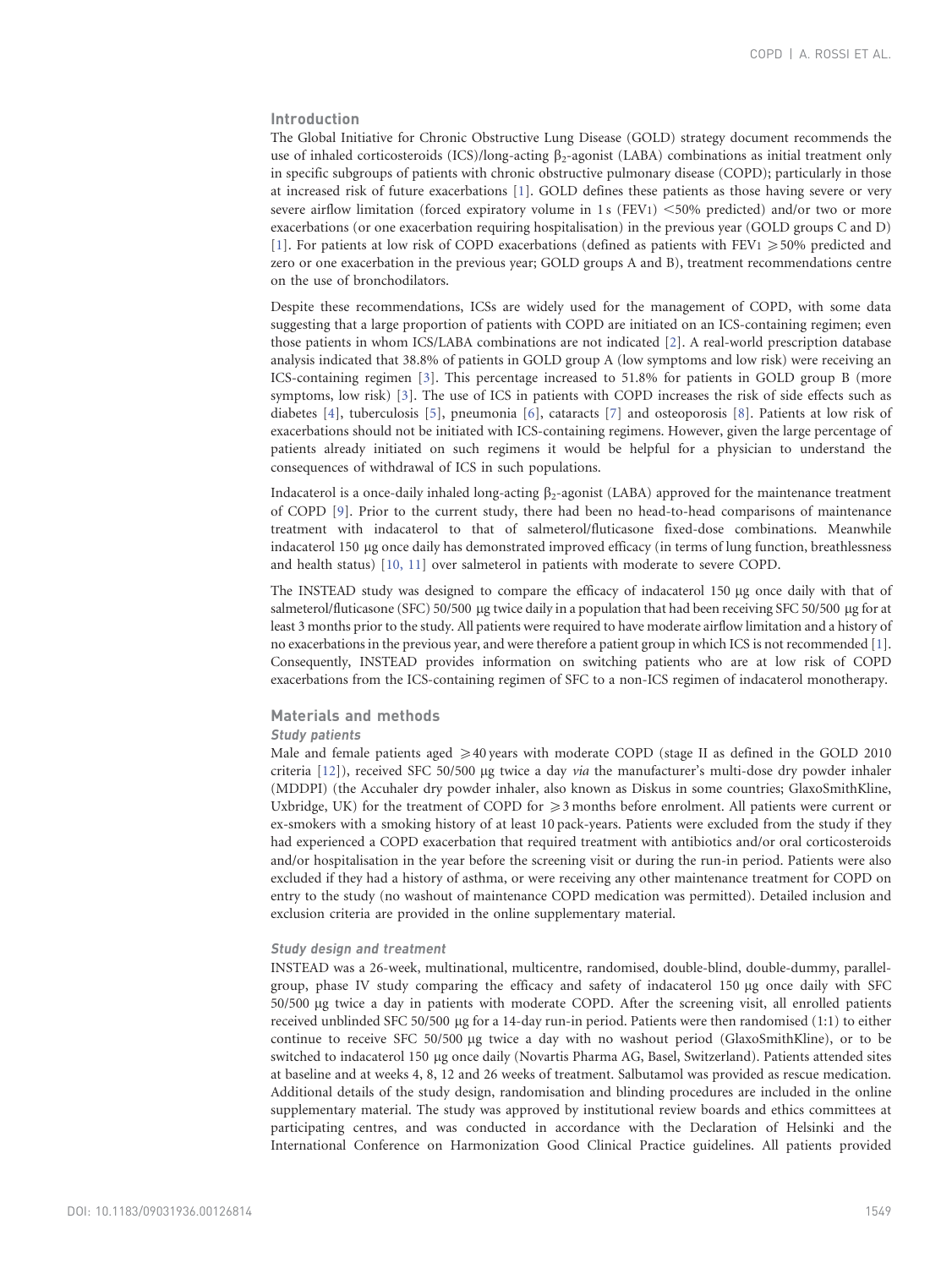# Introduction

The Global Initiative for Chronic Obstructive Lung Disease (GOLD) strategy document recommends the use of inhaled corticosteroids (ICS)/long-acting  $\beta_2$ -agonist (LABA) combinations as initial treatment only in specific subgroups of patients with chronic obstructive pulmonary disease (COPD); particularly in those at increased risk of future exacerbations [\[1\].](#page-8-0) GOLD defines these patients as those having severe or very severe airflow limitation (forced expiratory volume in 1 s (FEV1)  $\leq$ 50% predicted) and/or two or more exacerbations (or one exacerbation requiring hospitalisation) in the previous year (GOLD groups C and D) [\[1\]](#page-8-0). For patients at low risk of COPD exacerbations (defined as patients with FEV1  $\geq$  50% predicted and zero or one exacerbation in the previous year; GOLD groups A and B), treatment recommendations centre on the use of bronchodilators.

Despite these recommendations, ICSs are widely used for the management of COPD, with some data suggesting that a large proportion of patients with COPD are initiated on an ICS-containing regimen; even those patients in whom ICS/LABA combinations are not indicated [\[2\].](#page-8-0) A real-world prescription database analysis indicated that 38.8% of patients in GOLD group A (low symptoms and low risk) were receiving an ICS-containing regimen [\[3\].](#page-8-0) This percentage increased to 51.8% for patients in GOLD group B (more symptoms, low risk) [\[3\].](#page-8-0) The use of ICS in patients with COPD increases the risk of side effects such as diabetes [\[4\],](#page-8-0) tuberculosis [\[5\],](#page-8-0) pneumonia [\[6\]](#page-8-0), cataracts [\[7\]](#page-8-0) and osteoporosis [\[8\].](#page-8-0) Patients at low risk of exacerbations should not be initiated with ICS-containing regimens. However, given the large percentage of patients already initiated on such regimens it would be helpful for a physician to understand the consequences of withdrawal of ICS in such populations.

Indacaterol is a once-daily inhaled long-acting  $\beta_2$ -agonist (LABA) approved for the maintenance treatment of COPD [\[9\].](#page-8-0) Prior to the current study, there had been no head-to-head comparisons of maintenance treatment with indacaterol to that of salmeterol/fluticasone fixed-dose combinations. Meanwhile indacaterol 150 mg once daily has demonstrated improved efficacy (in terms of lung function, breathlessness and health status) [\[10, 11\]](#page-8-0) over salmeterol in patients with moderate to severe COPD.

The INSTEAD study was designed to compare the efficacy of indacaterol 150 µg once daily with that of salmeterol/fluticasone (SFC) 50/500 µg twice daily in a population that had been receiving SFC 50/500 µg for at least 3 months prior to the study. All patients were required to have moderate airflow limitation and a history of no exacerbations in the previous year, and were therefore a patient group in which ICS is not recommended [\[1\].](#page-8-0) Consequently, INSTEAD provides information on switching patients who are at low risk of COPD exacerbations from the ICS-containing regimen of SFC to a non-ICS regimen of indacaterol monotherapy.

## Materials and methods

# Study patients

Male and female patients aged  $\geqslant$  40 years with moderate COPD (stage II as defined in the GOLD 2010 criteria  $[12]$ ), received SFC 50/500 µg twice a day *via* the manufacturer's multi-dose dry powder inhaler (MDDPI) (the Accuhaler dry powder inhaler, also known as Diskus in some countries; GlaxoSmithKline, Uxbridge, UK) for the treatment of COPD for  $\geq$  3 months before enrolment. All patients were current or ex-smokers with a smoking history of at least 10 pack-years. Patients were excluded from the study if they had experienced a COPD exacerbation that required treatment with antibiotics and/or oral corticosteroids and/or hospitalisation in the year before the screening visit or during the run-in period. Patients were also excluded if they had a history of asthma, or were receiving any other maintenance treatment for COPD on entry to the study (no washout of maintenance COPD medication was permitted). Detailed inclusion and exclusion criteria are provided in the online supplementary material.

#### Study design and treatment

INSTEAD was a 26-week, multinational, multicentre, randomised, double-blind, double-dummy, parallelgroup, phase IV study comparing the efficacy and safety of indacaterol 150 µg once daily with SFC 50/500 mg twice a day in patients with moderate COPD. After the screening visit, all enrolled patients received unblinded SFC 50/500 mg for a 14-day run-in period. Patients were then randomised (1:1) to either continue to receive SFC 50/500 mg twice a day with no washout period (GlaxoSmithKline), or to be switched to indacaterol 150 µg once daily (Novartis Pharma AG, Basel, Switzerland). Patients attended sites at baseline and at weeks 4, 8, 12 and 26 weeks of treatment. Salbutamol was provided as rescue medication. Additional details of the study design, randomisation and blinding procedures are included in the online supplementary material. The study was approved by institutional review boards and ethics committees at participating centres, and was conducted in accordance with the Declaration of Helsinki and the International Conference on Harmonization Good Clinical Practice guidelines. All patients provided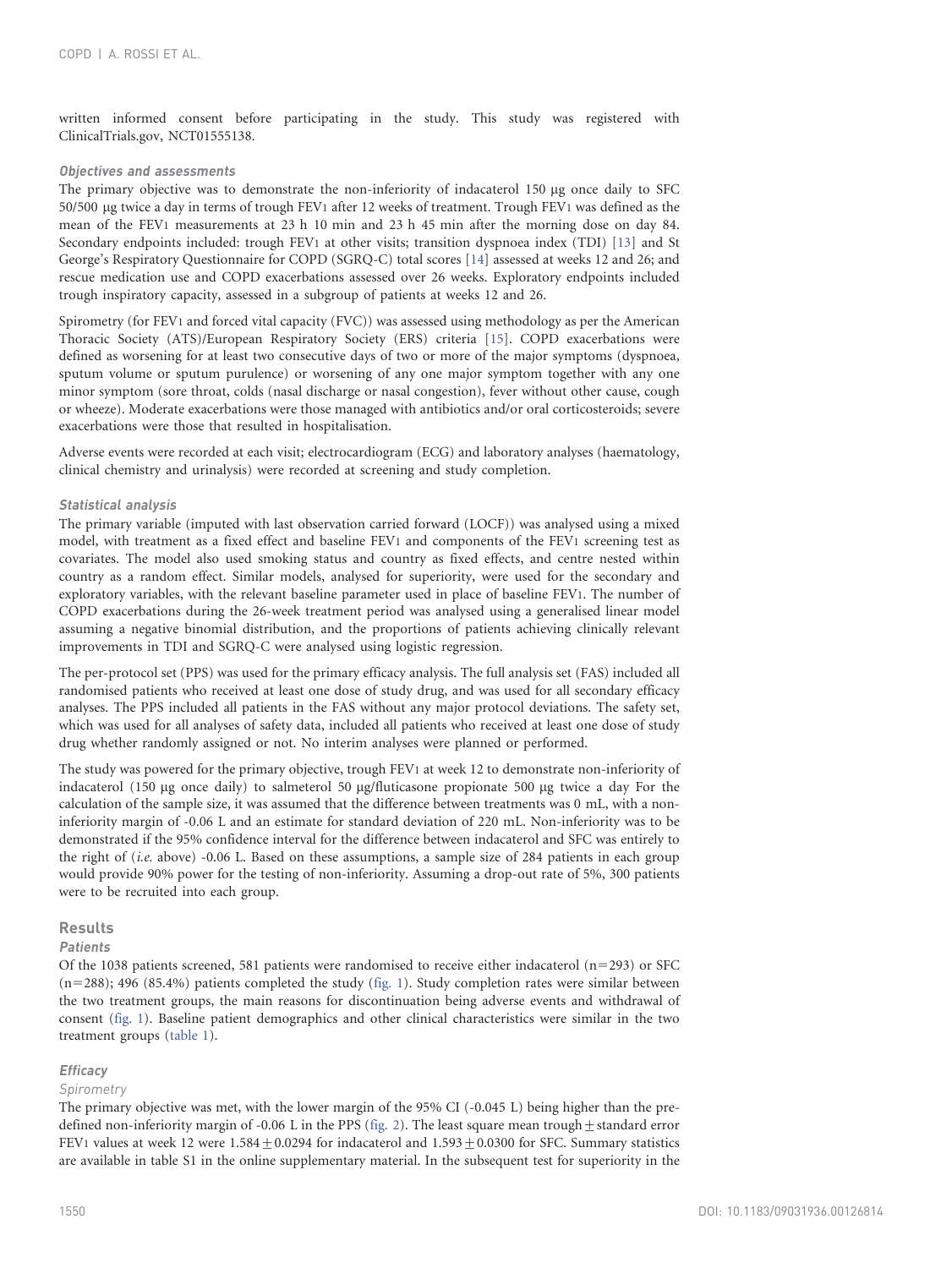written informed consent before participating in the study. This study was registered with ClinicalTrials.gov, NCT01555138.

#### Objectives and assessments

The primary objective was to demonstrate the non-inferiority of indacaterol 150 µg once daily to SFC 50/500 mg twice a day in terms of trough FEV1 after 12 weeks of treatment. Trough FEV1 was defined as the mean of the FEV1 measurements at 23 h 10 min and 23 h 45 min after the morning dose on day 84. Secondary endpoints included: trough FEV1 at other visits; transition dyspnoea index (TDI) [\[13\]](#page-8-0) and St George's Respiratory Questionnaire for COPD (SGRQ-C) total scores [\[14\]](#page-8-0) assessed at weeks 12 and 26; and rescue medication use and COPD exacerbations assessed over 26 weeks. Exploratory endpoints included trough inspiratory capacity, assessed in a subgroup of patients at weeks 12 and 26.

Spirometry (for FEV1 and forced vital capacity (FVC)) was assessed using methodology as per the American Thoracic Society (ATS)/European Respiratory Society (ERS) criteria [\[15\].](#page-8-0) COPD exacerbations were defined as worsening for at least two consecutive days of two or more of the major symptoms (dyspnoea, sputum volume or sputum purulence) or worsening of any one major symptom together with any one minor symptom (sore throat, colds (nasal discharge or nasal congestion), fever without other cause, cough or wheeze). Moderate exacerbations were those managed with antibiotics and/or oral corticosteroids; severe exacerbations were those that resulted in hospitalisation.

Adverse events were recorded at each visit; electrocardiogram (ECG) and laboratory analyses (haematology, clinical chemistry and urinalysis) were recorded at screening and study completion.

## Statistical analysis

The primary variable (imputed with last observation carried forward (LOCF)) was analysed using a mixed model, with treatment as a fixed effect and baseline FEV1 and components of the FEV1 screening test as covariates. The model also used smoking status and country as fixed effects, and centre nested within country as a random effect. Similar models, analysed for superiority, were used for the secondary and exploratory variables, with the relevant baseline parameter used in place of baseline FEV1. The number of COPD exacerbations during the 26-week treatment period was analysed using a generalised linear model assuming a negative binomial distribution, and the proportions of patients achieving clinically relevant improvements in TDI and SGRQ-C were analysed using logistic regression.

The per-protocol set (PPS) was used for the primary efficacy analysis. The full analysis set (FAS) included all randomised patients who received at least one dose of study drug, and was used for all secondary efficacy analyses. The PPS included all patients in the FAS without any major protocol deviations. The safety set, which was used for all analyses of safety data, included all patients who received at least one dose of study drug whether randomly assigned or not. No interim analyses were planned or performed.

The study was powered for the primary objective, trough FEV1 at week 12 to demonstrate non-inferiority of indacaterol (150  $\mu$ g once daily) to salmeterol 50  $\mu$ g/fluticasone propionate 500  $\mu$ g twice a day For the calculation of the sample size, it was assumed that the difference between treatments was 0 mL, with a noninferiority margin of -0.06 L and an estimate for standard deviation of 220 mL. Non-inferiority was to be demonstrated if the 95% confidence interval for the difference between indacaterol and SFC was entirely to the right of (*i.e.* above) -0.06 L. Based on these assumptions, a sample size of 284 patients in each group would provide 90% power for the testing of non-inferiority. Assuming a drop-out rate of 5%, 300 patients were to be recruited into each group.

## Results

## Patients

Of the 1038 patients screened, 581 patients were randomised to receive either indacaterol ( $n=293$ ) or SFC  $(n=288)$ ; 496 (85.4%) patients completed the study ([fig. 1\)](#page-3-0). Study completion rates were similar between the two treatment groups, the main reasons for discontinuation being adverse events and withdrawal of consent [\(fig. 1](#page-3-0)). Baseline patient demographics and other clinical characteristics were similar in the two treatment groups [\(table 1\)](#page-3-0).

# **Efficacy**

## Spirometry

The primary objective was met, with the lower margin of the 95% CI (-0.045 L) being higher than the predefined non-inferiority margin of -0.06 L in the PPS ([fig. 2](#page-4-0)). The least square mean trough  $\pm$  standard error FEV1 values at week 12 were  $1.584 \pm 0.0294$  for indacaterol and  $1.593 \pm 0.0300$  for SFC. Summary statistics are available in table S1 in the online supplementary material. In the subsequent test for superiority in the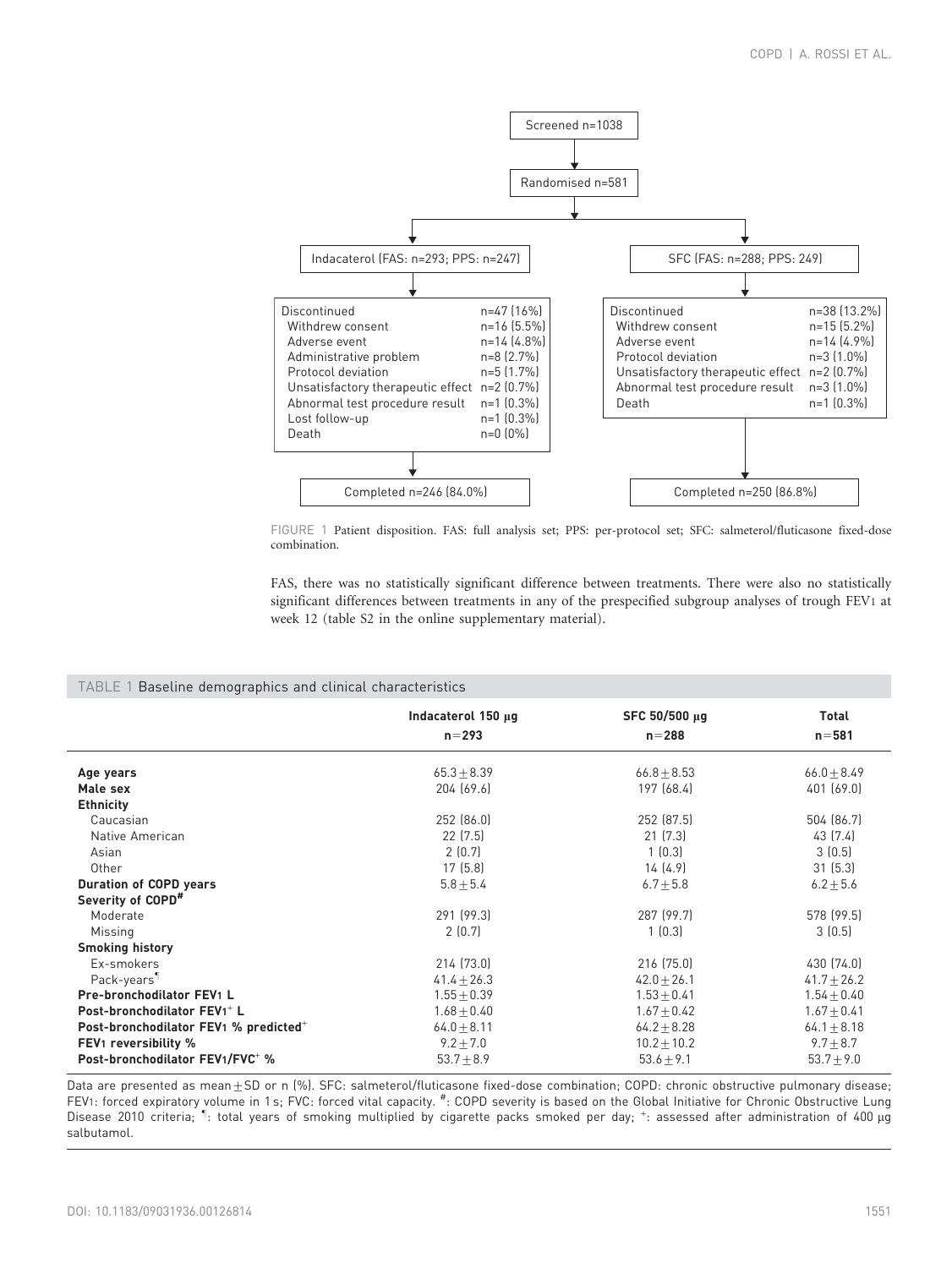<span id="page-3-0"></span>

FIGURE 1 Patient disposition. FAS: full analysis set; PPS: per-protocol set; SFC: salmeterol/fluticasone fixed-dose combination.

FAS, there was no statistically significant difference between treatments. There were also no statistically significant differences between treatments in any of the prespecified subgroup analyses of trough FEV1 at week 12 (table S2 in the online supplementary material).

#### TABLE 1 Baseline demographics and clinical characteristics

|                                                                            | Indacaterol 150 µg         | SFC 50/500 µq             | <b>Total</b>              |
|----------------------------------------------------------------------------|----------------------------|---------------------------|---------------------------|
|                                                                            | $n = 293$                  | $n = 288$                 | $n = 581$                 |
| Age years                                                                  | $65.3 + 8.39$              | $66.8 + 8.53$             | $66.0 + 8.49$             |
| Male sex                                                                   | 204 (69.6)                 | 197 (68.4)                | 401 (69.0)                |
| <b>Ethnicity</b><br>Caucasian<br>Native American                           | 252 (86.0)<br>$22$ $(7.5)$ | 252 (87.5)<br>21(7.3)     | 504 (86.7)<br>43 (7.4)    |
| Asian                                                                      | 2(0.7)                     | 1(0.3)                    | 3(0.5)                    |
| Other                                                                      | 17(5.8)                    | 14(4.9)                   | 31(5.3)                   |
| <b>Duration of COPD years</b><br>Severity of COPD <sup>#</sup><br>Moderate | $5.8 + 5.4$<br>291 (99.3)  | $6.7 + 5.8$<br>287 (99.7) | $6.2 + 5.6$<br>578 (99.5) |
| Missing<br><b>Smoking history</b>                                          | 2(0.7)                     | 1(0.3)                    | 3(0.5)                    |
| Ex-smokers                                                                 | 214 (73.0)                 | 216 (75.0)                | 430 (74.0)                |
| Pack-vears <sup>¶</sup>                                                    | $41.4 + 26.3$              | $42.0 + 26.1$             | $41.7 + 26.2$             |
| Pre-bronchodilator FEV1 L                                                  | $1.55 + 0.39$              | $1.53 + 0.41$             | $1.54 + 0.40$             |
| Post-bronchodilator FEV1 <sup>+</sup> L                                    | $1.68 + 0.40$              | $1.67 + 0.42$             | $1.67 + 0.41$             |
| Post-bronchodilator FEV1 % predicted <sup>+</sup>                          | $64.0 + 8.11$              | $64.2 + 8.28$             | $64.1 + 8.18$             |
| <b>FEV1</b> reversibility %                                                | $9.2 \pm 7.0$              | $10.2 \pm 10.2$           | $9.7 \pm 8.7$             |
| Post-bronchodilator FEV1/FVC <sup>+</sup> %                                | $53.7 + 8.9$               | $53.6 + 9.1$              | $53.7 + 9.0$              |

Data are presented as mean $\pm$ SD or n (%). SFC: salmeterol/fluticasone fixed-dose combination; COPD: chronic obstructive pulmonary disease; FEV1: forced expiratory volume in 1s; FVC: forced vital capacity. #: COPD severity is based on the Global Initiative for Chronic Obstructive Lung Disease 2010 criteria; <sup>1</sup>: total years of smoking multiplied by cigarette packs smoked per day; <sup>+</sup>: assessed after administration of 400 µg salbutamol.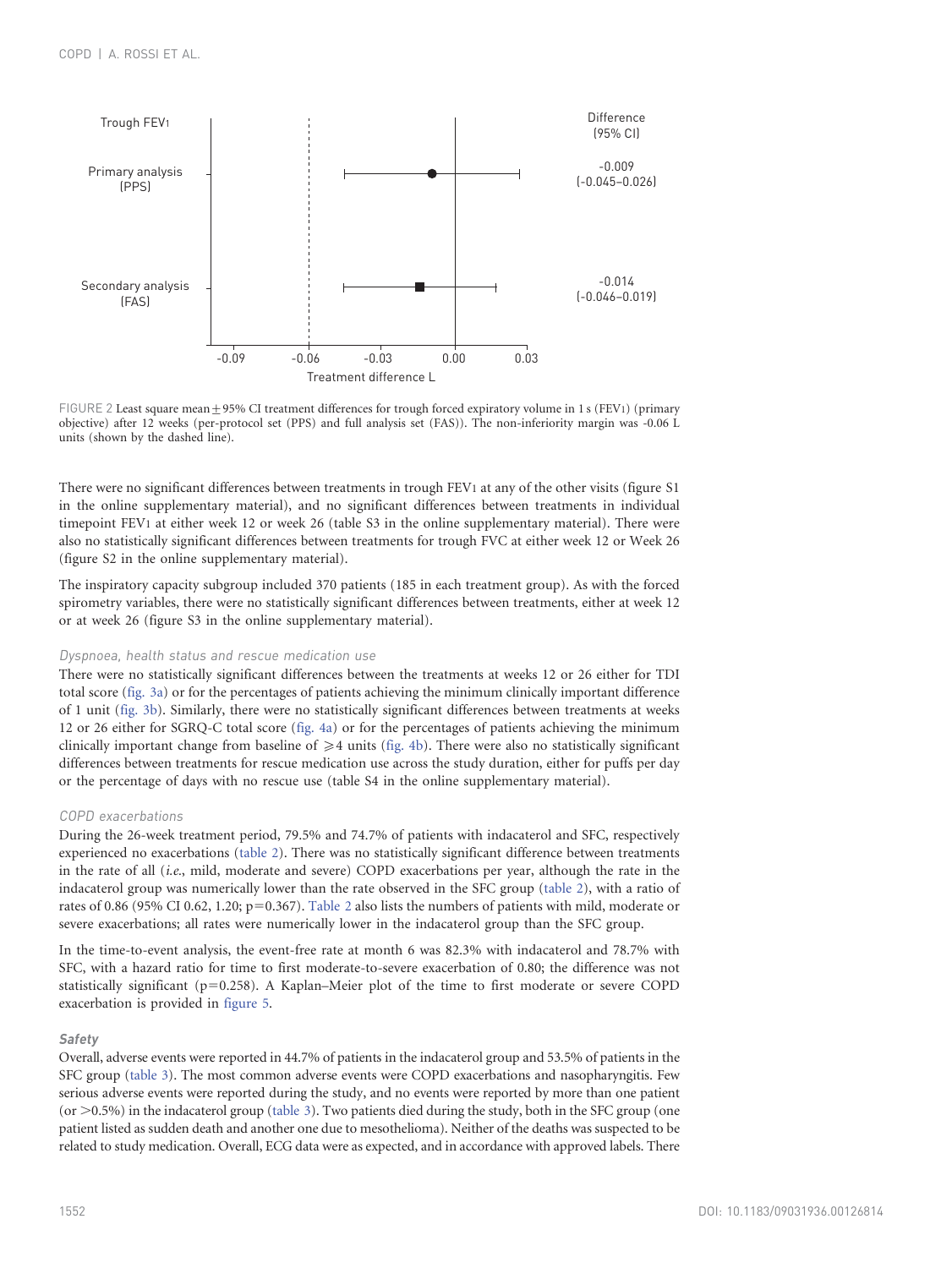<span id="page-4-0"></span>

FIGURE 2 Least square mean  $\pm$  95% CI treatment differences for trough forced expiratory volume in 1 s (FEV1) (primary objective) after 12 weeks (per-protocol set (PPS) and full analysis set (FAS)). The non-inferiority margin was -0.06 L units (shown by the dashed line).

There were no significant differences between treatments in trough FEV1 at any of the other visits (figure S1 in the online supplementary material), and no significant differences between treatments in individual timepoint FEV1 at either week 12 or week 26 (table S3 in the online supplementary material). There were also no statistically significant differences between treatments for trough FVC at either week 12 or Week 26 (figure S2 in the online supplementary material).

The inspiratory capacity subgroup included 370 patients (185 in each treatment group). As with the forced spirometry variables, there were no statistically significant differences between treatments, either at week 12 or at week 26 (figure S3 in the online supplementary material).

# Dyspnoea, health status and rescue medication use

There were no statistically significant differences between the treatments at weeks 12 or 26 either for TDI total score ([fig. 3a](#page-5-0)) or for the percentages of patients achieving the minimum clinically important difference of 1 unit [\(fig. 3b](#page-5-0)). Similarly, there were no statistically significant differences between treatments at weeks 12 or 26 either for SGRQ-C total score [\(fig. 4a](#page-5-0)) or for the percentages of patients achieving the minimum clinically important change from baseline of  $\geq 4$  units ([fig. 4b\)](#page-5-0). There were also no statistically significant differences between treatments for rescue medication use across the study duration, either for puffs per day or the percentage of days with no rescue use (table S4 in the online supplementary material).

# COPD exacerbations

During the 26-week treatment period, 79.5% and 74.7% of patients with indacaterol and SFC, respectively experienced no exacerbations ([table 2](#page-6-0)). There was no statistically significant difference between treatments in the rate of all (i.e., mild, moderate and severe) COPD exacerbations per year, although the rate in the indacaterol group was numerically lower than the rate observed in the SFC group [\(table 2](#page-6-0)), with a ratio of rates of 0.86 (95% CI 0.62, 1.20;  $p=0.367$ ). [Table 2](#page-6-0) also lists the numbers of patients with mild, moderate or severe exacerbations; all rates were numerically lower in the indacaterol group than the SFC group.

In the time-to-event analysis, the event-free rate at month 6 was 82.3% with indacaterol and 78.7% with SFC, with a hazard ratio for time to first moderate-to-severe exacerbation of 0.80; the difference was not statistically significant ( $p=0.258$ ). A Kaplan–Meier plot of the time to first moderate or severe COPD exacerbation is provided in [figure 5](#page-6-0).

#### Safety

Overall, adverse events were reported in 44.7% of patients in the indacaterol group and 53.5% of patients in the SFC group [\(table 3](#page-7-0)). The most common adverse events were COPD exacerbations and nasopharyngitis. Few serious adverse events were reported during the study, and no events were reported by more than one patient  $(or > 0.5%)$  in the indacaterol group [\(table 3](#page-7-0)). Two patients died during the study, both in the SFC group (one patient listed as sudden death and another one due to mesothelioma). Neither of the deaths was suspected to be related to study medication. Overall, ECG data were as expected, and in accordance with approved labels. There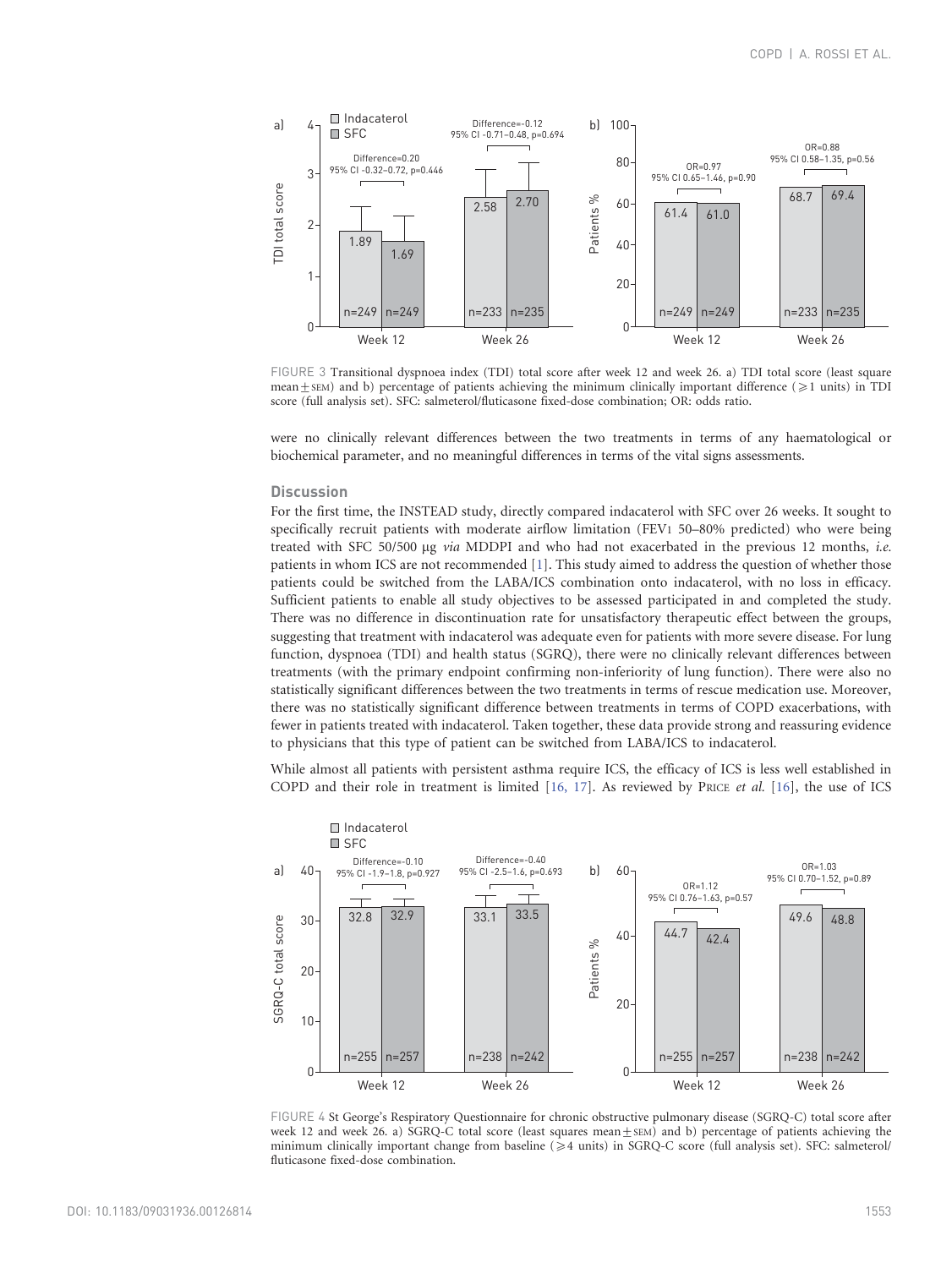<span id="page-5-0"></span>

FIGURE 3 Transitional dyspnoea index (TDI) total score after week 12 and week 26. a) TDI total score (least square mean $\pm$ SEM) and b) percentage of patients achieving the minimum clinically important difference ( $\geq 1$  units) in TDI score (full analysis set). SFC: salmeterol/fluticasone fixed-dose combination; OR: odds ratio.

were no clinically relevant differences between the two treatments in terms of any haematological or biochemical parameter, and no meaningful differences in terms of the vital signs assessments.

# **Discussion**

For the first time, the INSTEAD study, directly compared indacaterol with SFC over 26 weeks. It sought to specifically recruit patients with moderate airflow limitation (FEV1 50–80% predicted) who were being treated with SFC 50/500 µg via MDDPI and who had not exacerbated in the previous 12 months, i.e. patients in whom ICS are not recommended [\[1\]](#page-8-0). This study aimed to address the question of whether those patients could be switched from the LABA/ICS combination onto indacaterol, with no loss in efficacy. Sufficient patients to enable all study objectives to be assessed participated in and completed the study. There was no difference in discontinuation rate for unsatisfactory therapeutic effect between the groups, suggesting that treatment with indacaterol was adequate even for patients with more severe disease. For lung function, dyspnoea (TDI) and health status (SGRQ), there were no clinically relevant differences between treatments (with the primary endpoint confirming non-inferiority of lung function). There were also no statistically significant differences between the two treatments in terms of rescue medication use. Moreover, there was no statistically significant difference between treatments in terms of COPD exacerbations, with fewer in patients treated with indacaterol. Taken together, these data provide strong and reassuring evidence to physicians that this type of patient can be switched from LABA/ICS to indacaterol.

While almost all patients with persistent asthma require ICS, the efficacy of ICS is less well established in COPD and their role in treatment is limited  $[16, 17]$ . As reviewed by PRICE *et al.*  $[16]$ , the use of ICS



FIGURE 4 St George's Respiratory Questionnaire for chronic obstructive pulmonary disease (SGRQ-C) total score after week 12 and week 26. a) SGRQ-C total score (least squares mean $\pm$ SEM) and b) percentage of patients achieving the minimum clinically important change from baseline ( $\geq 4$  units) in SGRQ-C score (full analysis set). SFC: salmeterol/ fluticasone fixed-dose combination.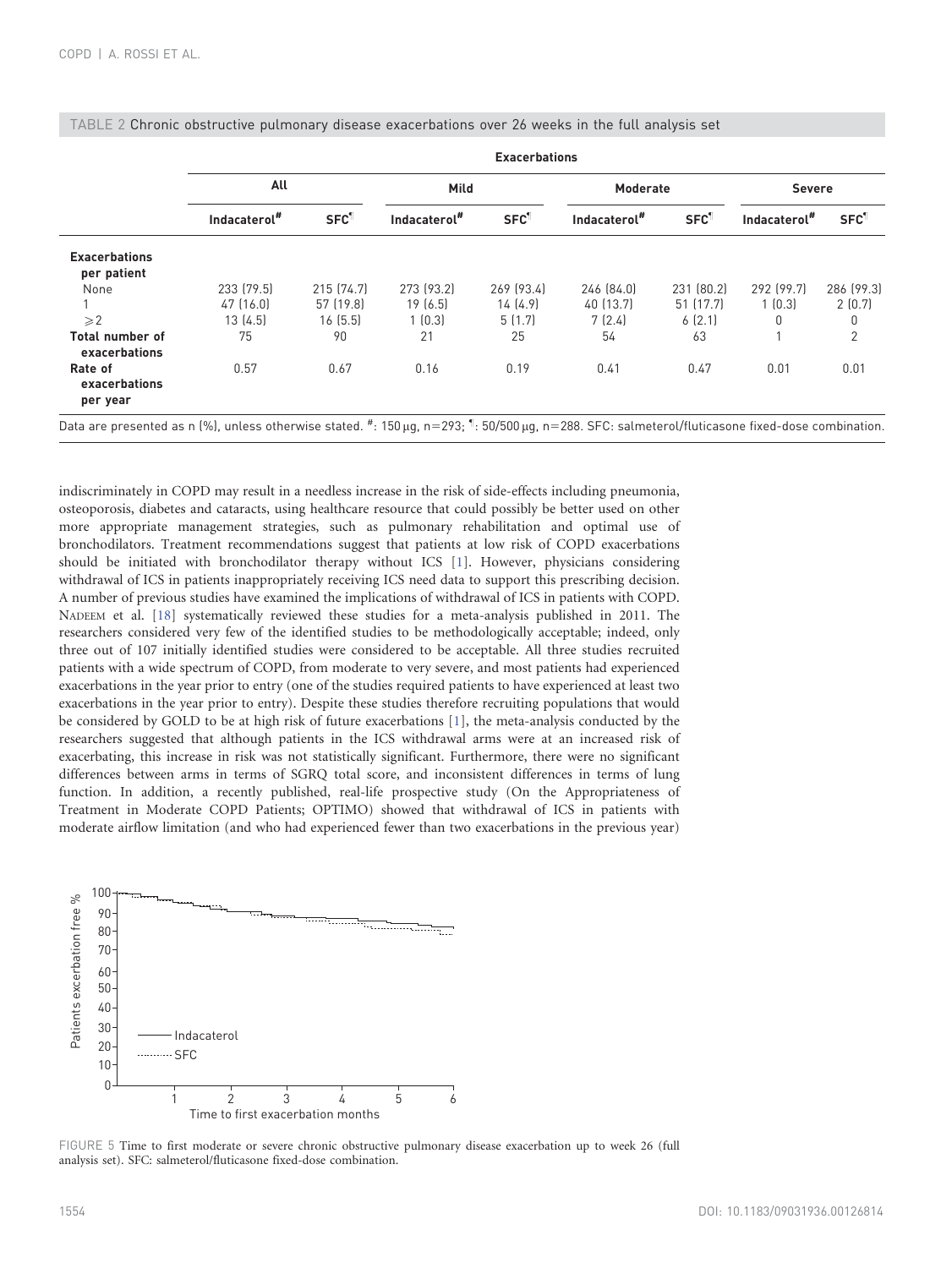|                                         | <b>Exacerbations</b> |                         |                          |                         |                          |            |                          |                         |
|-----------------------------------------|----------------------|-------------------------|--------------------------|-------------------------|--------------------------|------------|--------------------------|-------------------------|
|                                         | All                  |                         | Mild                     |                         | <b>Moderate</b>          |            | <b>Severe</b>            |                         |
|                                         | Indacaterol#         | <b>SFC</b> <sup>1</sup> | Indacaterol <sup>#</sup> | <b>SFC</b> <sup>1</sup> | Indacaterol <sup>#</sup> | <b>SFC</b> | Indacaterol <sup>#</sup> | <b>SFC</b> <sup>1</sup> |
| <b>Exacerbations</b><br>per patient     |                      |                         |                          |                         |                          |            |                          |                         |
| None                                    | 233 (79.5)           | 215 (74.7)              | 273 (93.2)               | 269 (93.4)              | 246 (84.0)               | 231 (80.2) | 292 (99.7)               | 286 [99.3]              |
|                                         | 47 (16.0)            | 57 (19.8)               | 19(6.5)                  | 14(4.9)                 | 40 (13.7)                | 51 (17.7)  | 1(0.3)                   | 2(0.7)                  |
| $\geqslant$ 2                           | 13(4.5)              | 16(5.5)                 | 1(0.3)                   | 5(1.7)                  | 7(2.4)                   | 6(2.1)     | 0                        | 0                       |
| <b>Total number of</b><br>exacerbations | 75                   | 90                      | 21                       | 25                      | 54                       | 63         |                          | 2                       |
| Rate of<br>exacerbations<br>per year    | 0.57                 | 0.67                    | 0.16                     | 0.19                    | 0.41                     | 0.47       | 0.01                     | 0.01                    |

<span id="page-6-0"></span>

|  | TABLE 2 Chronic obstructive pulmonary disease exacerbations over 26 weeks in the full analysis set |  |  |  |  |
|--|----------------------------------------------------------------------------------------------------|--|--|--|--|
|--|----------------------------------------------------------------------------------------------------|--|--|--|--|

indiscriminately in COPD may result in a needless increase in the risk of side-effects including pneumonia, osteoporosis, diabetes and cataracts, using healthcare resource that could possibly be better used on other more appropriate management strategies, such as pulmonary rehabilitation and optimal use of bronchodilators. Treatment recommendations suggest that patients at low risk of COPD exacerbations should be initiated with bronchodilator therapy without ICS [\[1\]](#page-8-0). However, physicians considering withdrawal of ICS in patients inappropriately receiving ICS need data to support this prescribing decision. A number of previous studies have examined the implications of withdrawal of ICS in patients with COPD. NADEEM et al. [\[18\]](#page-8-0) systematically reviewed these studies for a meta-analysis published in 2011. The researchers considered very few of the identified studies to be methodologically acceptable; indeed, only three out of 107 initially identified studies were considered to be acceptable. All three studies recruited patients with a wide spectrum of COPD, from moderate to very severe, and most patients had experienced exacerbations in the year prior to entry (one of the studies required patients to have experienced at least two exacerbations in the year prior to entry). Despite these studies therefore recruiting populations that would be considered by GOLD to be at high risk of future exacerbations [\[1\],](#page-8-0) the meta-analysis conducted by the researchers suggested that although patients in the ICS withdrawal arms were at an increased risk of exacerbating, this increase in risk was not statistically significant. Furthermore, there were no significant differences between arms in terms of SGRQ total score, and inconsistent differences in terms of lung function. In addition, a recently published, real-life prospective study (On the Appropriateness of Treatment in Moderate COPD Patients; OPTIMO) showed that withdrawal of ICS in patients with moderate airflow limitation (and who had experienced fewer than two exacerbations in the previous year)



FIGURE 5 Time to first moderate or severe chronic obstructive pulmonary disease exacerbation up to week 26 (full analysis set). SFC: salmeterol/fluticasone fixed-dose combination.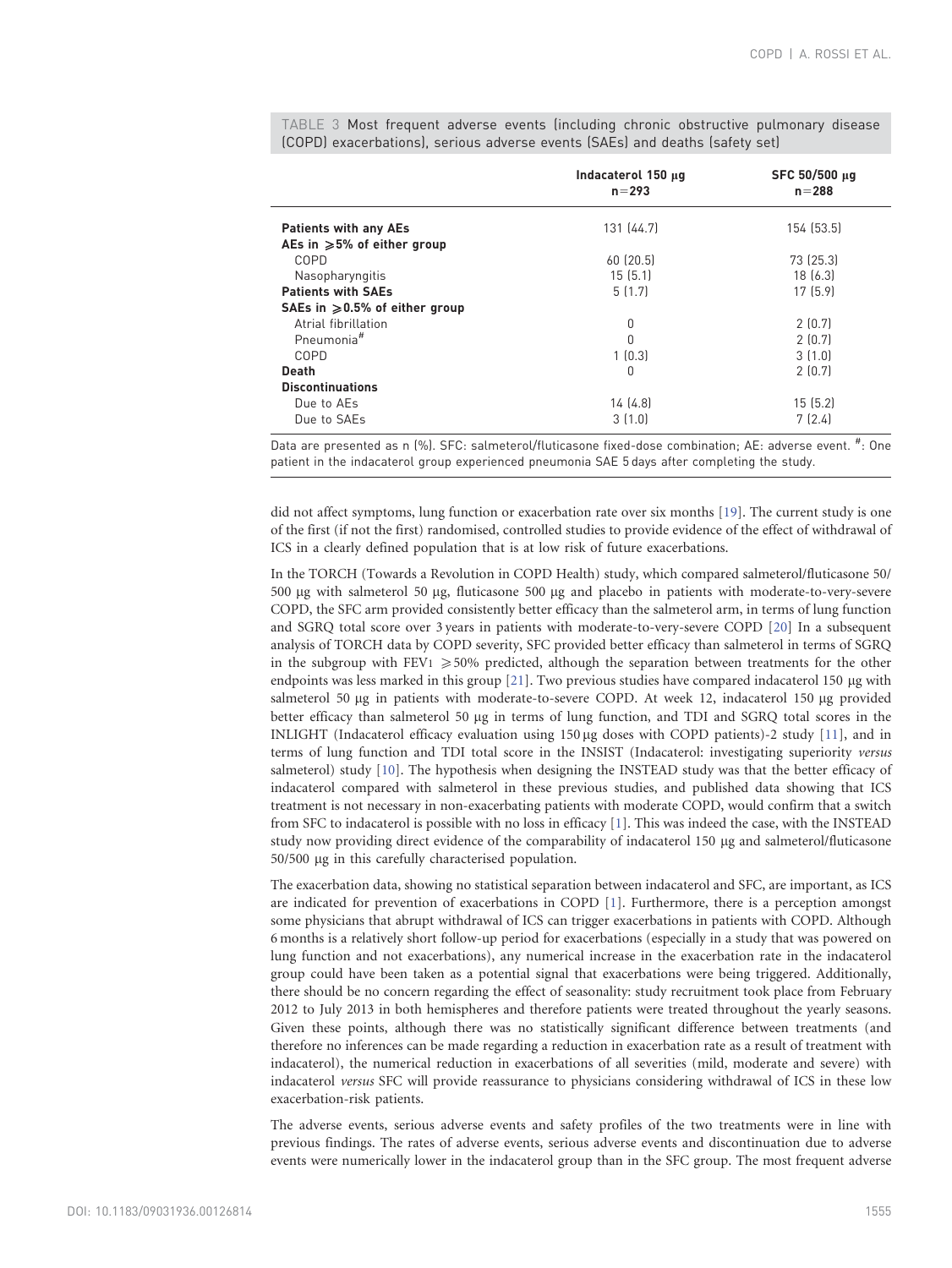|                                          | Indacaterol 150 µg<br>$n = 293$ | SFC 50/500 µg<br>$n = 288$ |
|------------------------------------------|---------------------------------|----------------------------|
| <b>Patients with any AEs</b>             | 131 (44.7)                      | 154 (53.5)                 |
| AEs in $\geqslant$ 5% of either group    |                                 |                            |
| COPD                                     | 60 (20.5)                       | 73 (25.3)                  |
| Nasopharyngitis                          | 15(5.1)                         | 18[6.3]                    |
| <b>Patients with SAEs</b>                | 5(1.7)                          | 17(5.9)                    |
| SAEs in $\geqslant$ 0.5% of either group |                                 |                            |
| Atrial fibrillation                      | 0                               | 2(0.7)                     |
| Pneumonia <sup>#</sup>                   | $\Omega$                        | 2(0.7)                     |
| COPD                                     | 1(0.3)                          | 3(1.0)                     |
| <b>Death</b>                             | 0                               | 2(0.7)                     |
| <b>Discontinuations</b>                  |                                 |                            |
| Due to AEs                               | 14(4.8)                         | 15(5.2)                    |
| Due to SAEs                              | 3(1.0)                          | 7(2.4)                     |
|                                          |                                 |                            |

<span id="page-7-0"></span>TABLE 3 Most frequent adverse events (including chronic obstructive pulmonary disease (COPD) exacerbations), serious adverse events (SAEs) and deaths (safety set)

Data are presented as n (%). SFC: salmeterol/fluticasone fixed-dose combination; AE: adverse event. #: One patient in the indacaterol group experienced pneumonia SAE 5 days after completing the study.

did not affect symptoms, lung function or exacerbation rate over six months [\[19\].](#page-8-0) The current study is one of the first (if not the first) randomised, controlled studies to provide evidence of the effect of withdrawal of ICS in a clearly defined population that is at low risk of future exacerbations.

In the TORCH (Towards a Revolution in COPD Health) study, which compared salmeterol/fluticasone 50/ 500 µg with salmeterol 50 µg, fluticasone 500 µg and placebo in patients with moderate-to-very-severe COPD, the SFC arm provided consistently better efficacy than the salmeterol arm, in terms of lung function and SGRQ total score over 3 years in patients with moderate-to-very-severe COPD [\[20\]](#page-8-0) In a subsequent analysis of TORCH data by COPD severity, SFC provided better efficacy than salmeterol in terms of SGRQ in the subgroup with FEV<sub>1</sub>  $\geq$  50% predicted, although the separation between treatments for the other endpoints was less marked in this group  $[21]$ . Two previous studies have compared indacaterol 150  $\mu$ g with salmeterol 50 µg in patients with moderate-to-severe COPD. At week 12, indacaterol 150 µg provided better efficacy than salmeterol 50  $\mu$ g in terms of lung function, and TDI and SGRQ total scores in the INLIGHT (Indacaterol efficacy evaluation using 150 µg doses with COPD patients)-2 study [\[11\]](#page-8-0), and in terms of lung function and TDI total score in the INSIST (Indacaterol: investigating superiority versus salmeterol) study [\[10\].](#page-8-0) The hypothesis when designing the INSTEAD study was that the better efficacy of indacaterol compared with salmeterol in these previous studies, and published data showing that ICS treatment is not necessary in non-exacerbating patients with moderate COPD, would confirm that a switch from SFC to indacaterol is possible with no loss in efficacy [\[1\].](#page-8-0) This was indeed the case, with the INSTEAD study now providing direct evidence of the comparability of indacaterol 150 µg and salmeterol/fluticasone 50/500 mg in this carefully characterised population.

The exacerbation data, showing no statistical separation between indacaterol and SFC, are important, as ICS are indicated for prevention of exacerbations in COPD [\[1\]](#page-8-0). Furthermore, there is a perception amongst some physicians that abrupt withdrawal of ICS can trigger exacerbations in patients with COPD. Although 6 months is a relatively short follow-up period for exacerbations (especially in a study that was powered on lung function and not exacerbations), any numerical increase in the exacerbation rate in the indacaterol group could have been taken as a potential signal that exacerbations were being triggered. Additionally, there should be no concern regarding the effect of seasonality: study recruitment took place from February 2012 to July 2013 in both hemispheres and therefore patients were treated throughout the yearly seasons. Given these points, although there was no statistically significant difference between treatments (and therefore no inferences can be made regarding a reduction in exacerbation rate as a result of treatment with indacaterol), the numerical reduction in exacerbations of all severities (mild, moderate and severe) with indacaterol versus SFC will provide reassurance to physicians considering withdrawal of ICS in these low exacerbation-risk patients.

The adverse events, serious adverse events and safety profiles of the two treatments were in line with previous findings. The rates of adverse events, serious adverse events and discontinuation due to adverse events were numerically lower in the indacaterol group than in the SFC group. The most frequent adverse